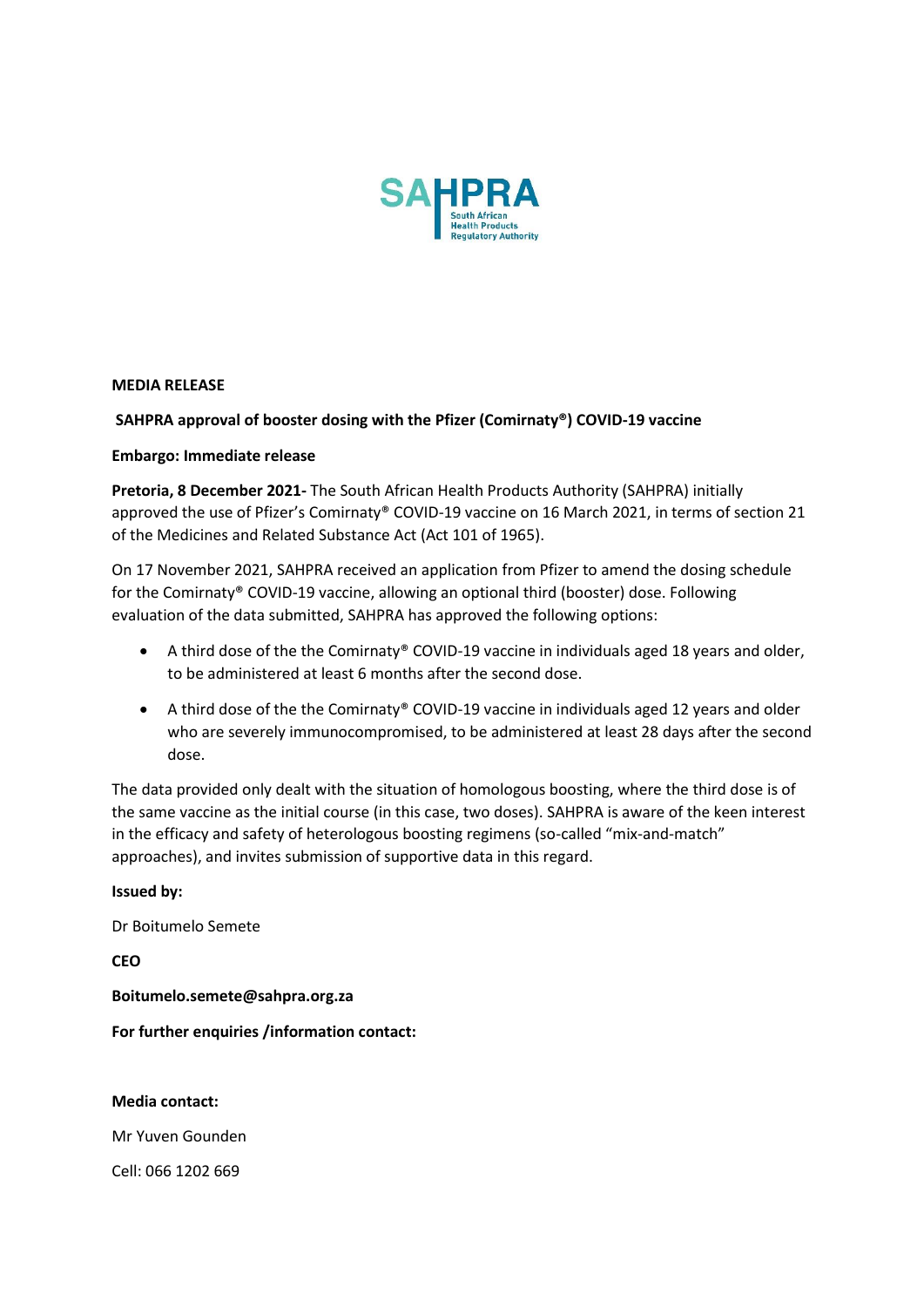

**MEDIA RELEASE** 

# **SAHPRA approval of booster dosing with the Pfizer (Comirnaty®) COVID-19 vaccine**

## **Embargo: Immediate release**

**Pretoria, 8 December 2021-** The South African Health Products Authority (SAHPRA) initially approved the use of Pfizer's Comirnaty® COVID-19 vaccine on 16 March 2021, in terms of section 21 of the Medicines and Related Substance Act (Act 101 of 1965).

On 17 November 2021, SAHPRA received an application from Pfizer to amend the dosing schedule for the Comirnaty® COVID-19 vaccine, allowing an optional third (booster) dose. Following evaluation of the data submitted, SAHPRA has approved the following options:

- A third dose of the the Comirnaty® COVID-19 vaccine in individuals aged 18 years and older, to be administered at least 6 months after the second dose.
- A third dose of the the Comirnaty® COVID-19 vaccine in individuals aged 12 years and older who are severely immunocompromised, to be administered at least 28 days after the second dose.

The data provided only dealt with the situation of homologous boosting, where the third dose is of the same vaccine as the initial course (in this case, two doses). SAHPRA is aware of the keen interest in the efficacy and safety of heterologous boosting regimens (so-called "mix-and-match" approaches), and invites submission of supportive data in this regard.

### **Issued by:**

Dr Boitumelo Semete

**CEO**

**Boitumelo.semete@sahpra.org.za**

**For further enquiries /information contact:** 

**Media contact:** 

Mr Yuven Gounden

Cell: 066 1202 669